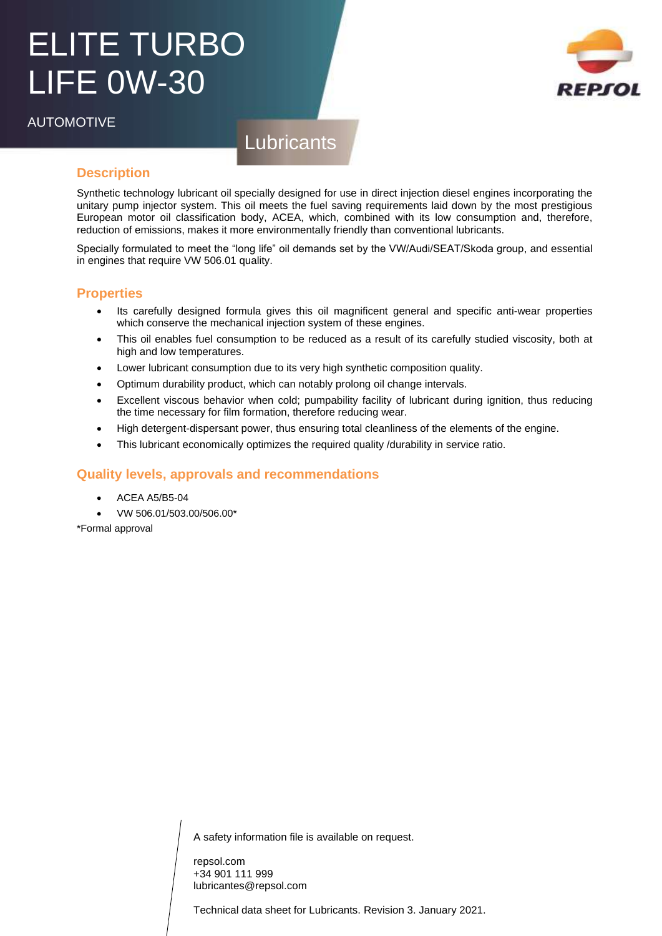# ELITE TURBO LIFE 0W-30

AUTOMOTIVE



# **Lubricants**

### **Description**

Synthetic technology lubricant oil specially designed for use in direct injection diesel engines incorporating the unitary pump injector system. This oil meets the fuel saving requirements laid down by the most prestigious European motor oil classification body, ACEA, which, combined with its low consumption and, therefore, reduction of emissions, makes it more environmentally friendly than conventional lubricants.

Specially formulated to meet the "long life" oil demands set by the VW/Audi/SEAT/Skoda group, and essential in engines that require VW 506.01 quality.

#### **Properties**

- Its carefully designed formula gives this oil magnificent general and specific anti-wear properties which conserve the mechanical injection system of these engines.
- This oil enables fuel consumption to be reduced as a result of its carefully studied viscosity, both at high and low temperatures.
- Lower lubricant consumption due to its very high synthetic composition quality.
- Optimum durability product, which can notably prolong oil change intervals.
- Excellent viscous behavior when cold; pumpability facility of lubricant during ignition, thus reducing the time necessary for film formation, therefore reducing wear.
- High detergent-dispersant power, thus ensuring total cleanliness of the elements of the engine.
- This lubricant economically optimizes the required quality /durability in service ratio.

### **Quality levels, approvals and recommendations**

- ACEA A5/B5-04
- VW 506.01/503.00/506.00\*

\*Formal approval

A safety information file is available on request.

repsol.com +34 901 111 999 lubricantes@repsol.com

Technical data sheet for Lubricants. Revision 3. January 2021.